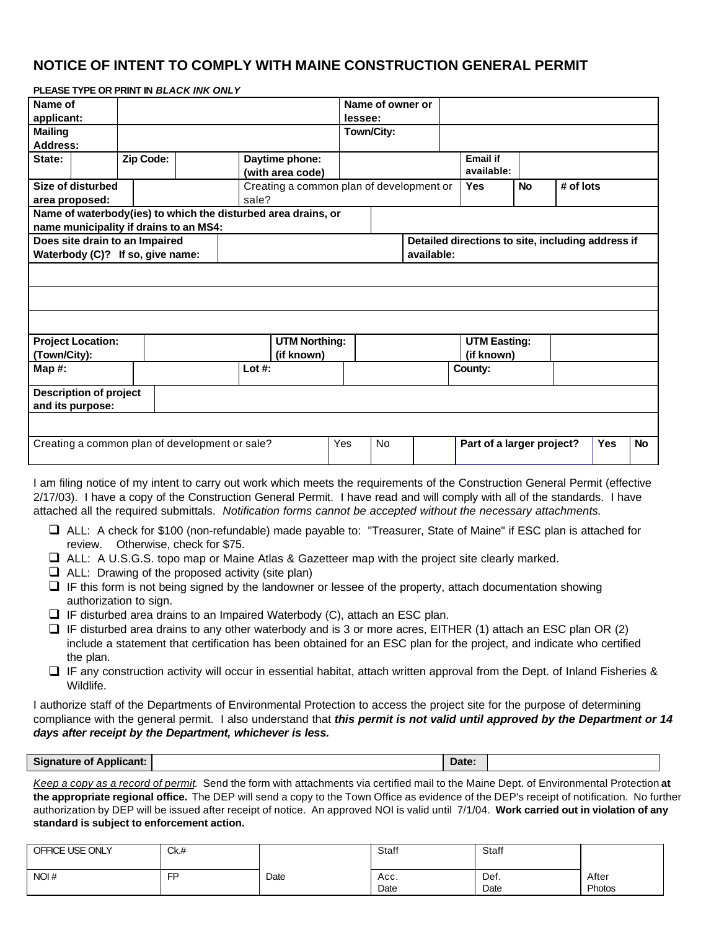## **NOTICE OF INTENT TO COMPLY WITH MAINE CONSTRUCTION GENERAL PERMIT**

|                                                |                                                   | FLEASE ITFE ON FNINT IN <i>BLACK HYN ONLT</i> |  |            |                                                               |         |                  |  |                                                   |                           |            |           |
|------------------------------------------------|---------------------------------------------------|-----------------------------------------------|--|------------|---------------------------------------------------------------|---------|------------------|--|---------------------------------------------------|---------------------------|------------|-----------|
| Name of                                        |                                                   |                                               |  |            |                                                               |         | Name of owner or |  |                                                   |                           |            |           |
| applicant:                                     |                                                   |                                               |  |            |                                                               | lessee: |                  |  |                                                   |                           |            |           |
| <b>Mailing</b>                                 |                                                   |                                               |  |            |                                                               |         | Town/City:       |  |                                                   |                           |            |           |
| Address:                                       |                                                   |                                               |  |            |                                                               |         |                  |  |                                                   |                           |            |           |
| State:                                         |                                                   | Zip Code:                                     |  |            | Daytime phone:<br>(with area code)                            |         |                  |  | <b>Email if</b><br>available:                     |                           |            |           |
| Size of disturbed                              |                                                   |                                               |  |            | Creating a common plan of development or                      |         |                  |  |                                                   | <b>No</b>                 | # of lots  |           |
|                                                | area proposed:                                    |                                               |  | sale?      |                                                               |         |                  |  |                                                   |                           |            |           |
|                                                |                                                   |                                               |  |            | Name of waterbody(ies) to which the disturbed area drains, or |         |                  |  |                                                   |                           |            |           |
|                                                |                                                   | name municipality if drains to an MS4:        |  |            |                                                               |         |                  |  |                                                   |                           |            |           |
| Does site drain to an Impaired                 |                                                   |                                               |  |            |                                                               |         |                  |  | Detailed directions to site, including address if |                           |            |           |
| Waterbody (C)? If so, give name:               |                                                   |                                               |  |            | available:                                                    |         |                  |  |                                                   |                           |            |           |
|                                                |                                                   |                                               |  |            |                                                               |         |                  |  |                                                   |                           |            |           |
|                                                | <b>Project Location:</b>                          |                                               |  |            | <b>UTM Northing:</b>                                          |         |                  |  | <b>UTM Easting:</b>                               |                           |            |           |
| (Town/City):                                   |                                                   |                                               |  | (if known) |                                                               |         |                  |  | (if known)                                        |                           |            |           |
| Map $#$ :                                      |                                                   |                                               |  | Lot $#$ :  |                                                               |         |                  |  | County:                                           |                           |            |           |
|                                                | <b>Description of project</b><br>and its purpose: |                                               |  |            |                                                               |         |                  |  |                                                   |                           |            |           |
| Creating a common plan of development or sale? |                                                   |                                               |  |            |                                                               | Yes     | <b>No</b>        |  |                                                   | Part of a larger project? | <b>Yes</b> | <b>No</b> |
|                                                |                                                   |                                               |  |            |                                                               |         |                  |  |                                                   |                           |            |           |

I am filing notice of my intent to carry out work which meets the requirements of the Construction General Permit (effective 2/17/03). I have a copy of the Construction General Permit. I have read and will comply with all of the standards. I have attached all the required submittals. *Notification forms cannot be accepted without the necessary attachments.*

- q ALL: A check for \$100 (non-refundable) made payable to: "Treasurer, State of Maine" if ESC plan is attached for review. Otherwise, check for \$75.
- $\Box$  ALL: A U.S.G.S. topo map or Maine Atlas & Gazetteer map with the project site clearly marked.
- $\Box$  ALL: Drawing of the proposed activity (site plan)

**PLEASE TYPE OR PRINT IN** *BLACK INK ONLY*

- $\Box$  IF this form is not being signed by the landowner or lessee of the property, attach documentation showing authorization to sign.
- $\Box$  IF disturbed area drains to an Impaired Waterbody (C), attach an ESC plan.
- $\Box$  IF disturbed area drains to any other waterbody and is 3 or more acres, EITHER (1) attach an ESC plan OR (2) include a statement that certification has been obtained for an ESC plan for the project, and indicate who certified the plan.
- □ IF any construction activity will occur in essential habitat, attach written approval from the Dept. of Inland Fisheries & Wildlife.

I authorize staff of the Departments of Environmental Protection to access the project site for the purpose of determining compliance with the general permit. I also understand that *this permit is not valid until approved by the Department or 14 days after receipt by the Department, whichever is less.*

*Keep a copy as a record of permit*. Send the form with attachments via certified mail to the Maine Dept. of Environmental Protection **at the appropriate regional office.** The DEP will send a copy to the Town Office as evidence of the DEP's receipt of notification. No further authorization by DEP will be issued after receipt of notice. An approved NOI is valid until 7/1/04. **Work carried out in violation of any standard is subject to enforcement action.**

| OFFICE USE ONLY | Ck.# |      | Staff        | Staff        |                 |
|-----------------|------|------|--------------|--------------|-----------------|
| NOI#            | FP   | Date | Acc.<br>Date | Def.<br>Date | After<br>Photos |